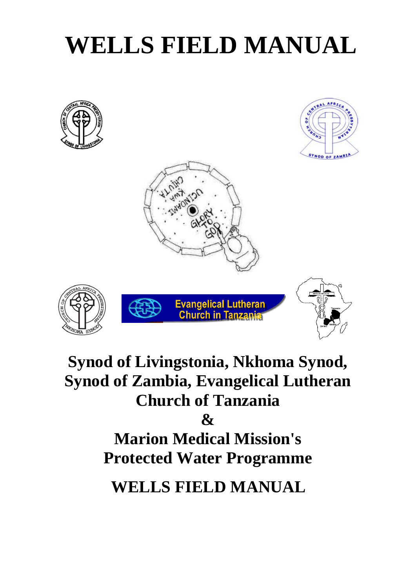# **WELLS FIELD MANUAL**









**Synod of Livingstonia, Nkhoma Synod, Synod of Zambia, Evangelical Lutheran Church of Tanzania** 

**&** 

**Marion Medical Mission's Protected Water Programme** 

 **WELLS FIELD MANUAL**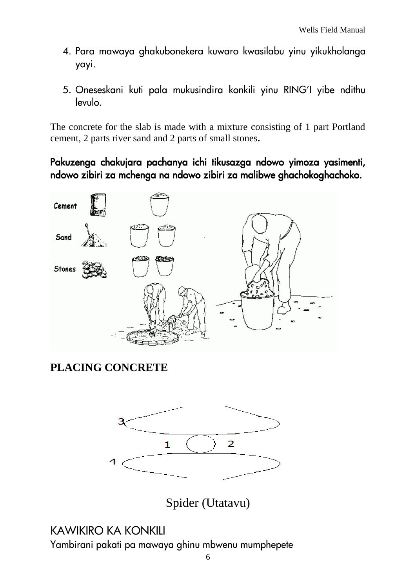- 4. Para mawaya ghakubonekera kuwaro kwasilabu yinu yikukholanga yayi.
- 5. Oneseskani kuti pala mukusindira konkili yinu RING'I yibe ndithu levulo.

The concrete for the slab is made with a mixture consisting of 1 part Portland cement, 2 parts river sand and 2 parts of small stones**.** 

Pakuzenga chakujara pachanya ichi tikusazga ndowo yimoza yasimenti, ndowo zibiri za mchenga na ndowo zibiri za malibwe ghachokoghachoko.



## **PLACING CONCRETE**



Spider (Utatavu)

## KAWIKIRO KA KONKILI

Yambirani pakati pa mawaya ghinu mbwenu mumphepete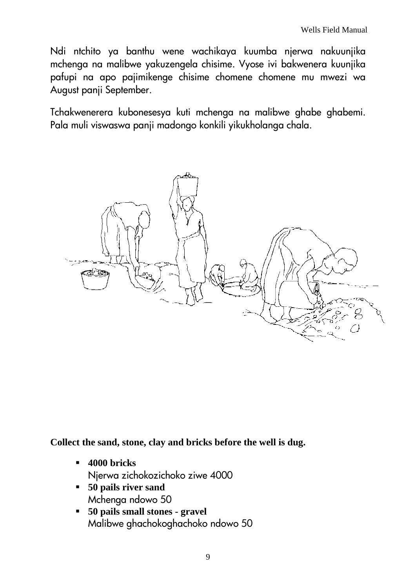Ndi ntchito ya banthu wene wachikaya kuumba njerwa nakuunjika mchenga na malibwe yakuzengela chisime. Vyose ivi bakwenera kuunjika pafupi na apo pajimikenge chisime chomene chomene mu mwezi wa August panji September.

Tchakwenerera kubonesesya kuti mchenga na malibwe ghabe ghabemi. Pala muli viswaswa panji madongo konkili yikukholanga chala.



**Collect the sand, stone, clay and bricks before the well is dug.**

- **4000 bricks** Njerwa zichokozichoko ziwe 4000
- **50 pails river sand** Mchenga ndowo 50
- **50 pails small stones gravel** Malibwe ghachokoghachoko ndowo 50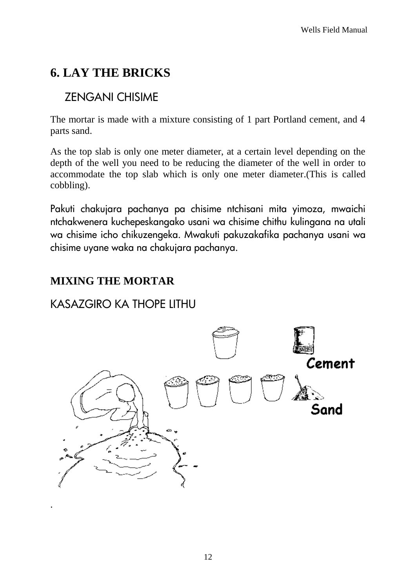## **6. LAY THE BRICKS**

## ZENGANI CHISIME

The mortar is made with a mixture consisting of 1 part Portland cement, and 4 parts sand.

As the top slab is only one meter diameter, at a certain level depending on the depth of the well you need to be reducing the diameter of the well in order to accommodate the top slab which is only one meter diameter.(This is called cobbling).

Pakuti chakujara pachanya pa chisime ntchisani mita yimoza, mwaichi ntchakwenera kuchepeskangako usani wa chisime chithu kulingana na utali wa chisime icho chikuzengeka. Mwakuti pakuzakafika pachanya usani wa chisime uyane waka na chakujara pachanya.

## **MIXING THE MORTAR**

.

## KASAZGIRO KA THOPE LITHU

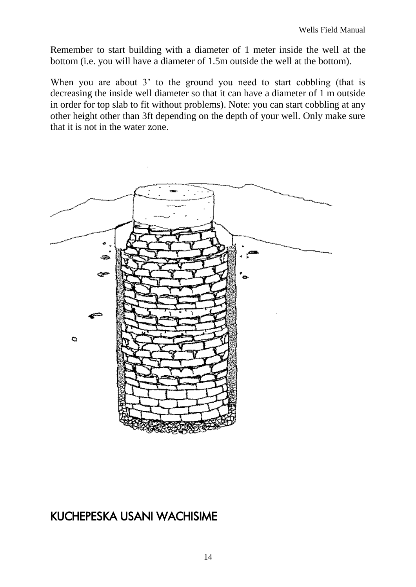Remember to start building with a diameter of 1 meter inside the well at the bottom (i.e. you will have a diameter of 1.5m outside the well at the bottom).

When you are about 3' to the ground you need to start cobbling (that is decreasing the inside well diameter so that it can have a diameter of 1 m outside in order for top slab to fit without problems). Note: you can start cobbling at any other height other than 3ft depending on the depth of your well. Only make sure that it is not in the water zone.



## KUCHEPESKA USANI WACHISIME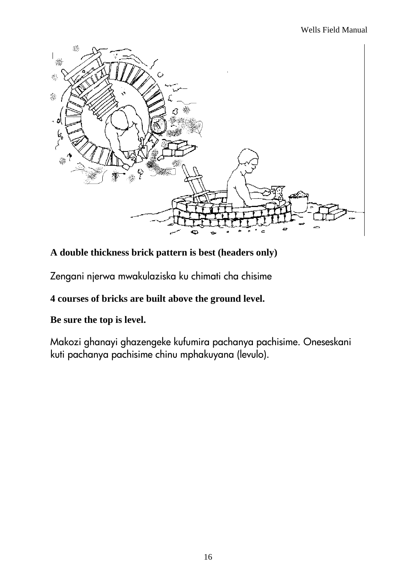

### **A double thickness brick pattern is best (headers only)**

Zengani njerwa mwakulaziska ku chimati cha chisime

#### **4 courses of bricks are built above the ground level.**

#### **Be sure the top is level.**

Makozi ghanayi ghazengeke kufumira pachanya pachisime. Oneseskani kuti pachanya pachisime chinu mphakuyana (levulo).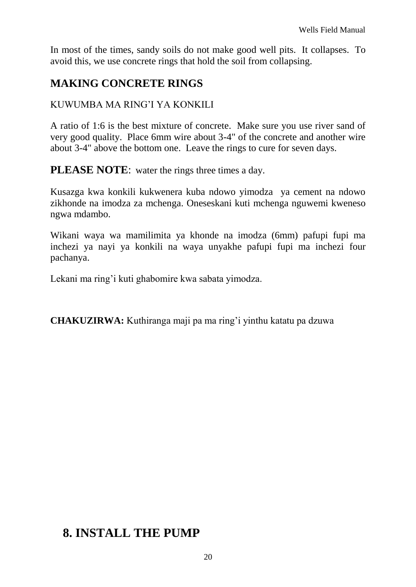In most of the times, sandy soils do not make good well pits. It collapses. To avoid this, we use concrete rings that hold the soil from collapsing.

## **MAKING CONCRETE RINGS**

#### KUWUMBA MA RING'I YA KONKILI

A ratio of 1:6 is the best mixture of concrete. Make sure you use river sand of very good quality. Place 6mm wire about 3-4" of the concrete and another wire about 3-4" above the bottom one. Leave the rings to cure for seven days.

**PLEASE NOTE**: water the rings three times a day.

Kusazga kwa konkili kukwenera kuba ndowo yimodza ya cement na ndowo zikhonde na imodza za mchenga. Oneseskani kuti mchenga nguwemi kweneso ngwa mdambo.

Wikani waya wa mamilimita ya khonde na imodza (6mm) pafupi fupi ma inchezi ya nayi ya konkili na waya unyakhe pafupi fupi ma inchezi four pachanya.

Lekani ma ring'i kuti ghabomire kwa sabata yimodza.

**CHAKUZIRWA:** Kuthiranga maji pa ma ring'i yinthu katatu pa dzuwa

## **8. INSTALL THE PUMP**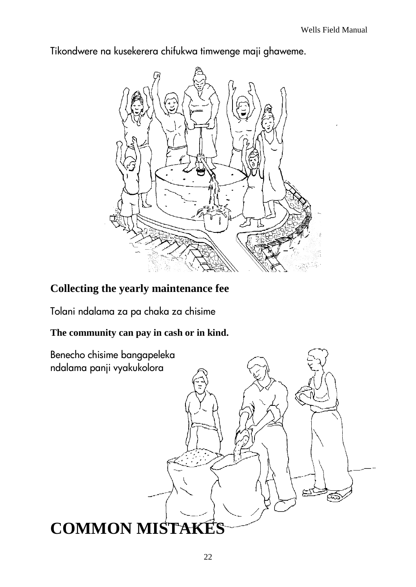Tikondwere na kusekerera chifukwa timwenge maji ghaweme.



## **Collecting the yearly maintenance fee**

Tolani ndalama za pa chaka za chisime

#### **The community can pay in cash or in kind.**